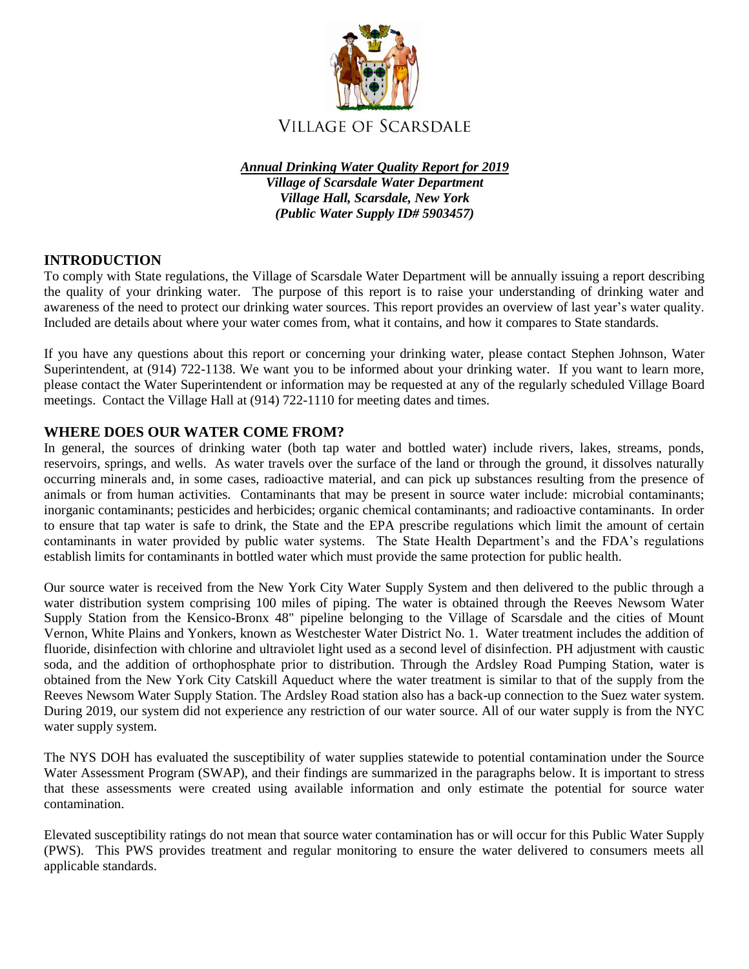

*Annual Drinking Water Quality Report for 2019 Village of Scarsdale Water Department Village Hall, Scarsdale, New York (Public Water Supply ID# 5903457)*

# **INTRODUCTION**

To comply with State regulations, the Village of Scarsdale Water Department will be annually issuing a report describing the quality of your drinking water. The purpose of this report is to raise your understanding of drinking water and awareness of the need to protect our drinking water sources. This report provides an overview of last year's water quality. Included are details about where your water comes from, what it contains, and how it compares to State standards.

If you have any questions about this report or concerning your drinking water, please contact Stephen Johnson, Water Superintendent, at (914) 722-1138. We want you to be informed about your drinking water. If you want to learn more, please contact the Water Superintendent or information may be requested at any of the regularly scheduled Village Board meetings. Contact the Village Hall at (914) 722-1110 for meeting dates and times.

## **WHERE DOES OUR WATER COME FROM?**

In general, the sources of drinking water (both tap water and bottled water) include rivers, lakes, streams, ponds, reservoirs, springs, and wells. As water travels over the surface of the land or through the ground, it dissolves naturally occurring minerals and, in some cases, radioactive material, and can pick up substances resulting from the presence of animals or from human activities. Contaminants that may be present in source water include: microbial contaminants; inorganic contaminants; pesticides and herbicides; organic chemical contaminants; and radioactive contaminants. In order to ensure that tap water is safe to drink, the State and the EPA prescribe regulations which limit the amount of certain contaminants in water provided by public water systems. The State Health Department's and the FDA's regulations establish limits for contaminants in bottled water which must provide the same protection for public health.

Our source water is received from the New York City Water Supply System and then delivered to the public through a water distribution system comprising 100 miles of piping. The water is obtained through the Reeves Newsom Water Supply Station from the Kensico-Bronx 48" pipeline belonging to the Village of Scarsdale and the cities of Mount Vernon, White Plains and Yonkers, known as Westchester Water District No. 1. Water treatment includes the addition of fluoride, disinfection with chlorine and ultraviolet light used as a second level of disinfection. PH adjustment with caustic soda, and the addition of orthophosphate prior to distribution. Through the Ardsley Road Pumping Station, water is obtained from the New York City Catskill Aqueduct where the water treatment is similar to that of the supply from the Reeves Newsom Water Supply Station. The Ardsley Road station also has a back-up connection to the Suez water system. During 2019, our system did not experience any restriction of our water source. All of our water supply is from the NYC water supply system.

The NYS DOH has evaluated the susceptibility of water supplies statewide to potential contamination under the Source Water Assessment Program (SWAP), and their findings are summarized in the paragraphs below. It is important to stress that these assessments were created using available information and only estimate the potential for source water contamination.

Elevated susceptibility ratings do not mean that source water contamination has or will occur for this Public Water Supply (PWS). This PWS provides treatment and regular monitoring to ensure the water delivered to consumers meets all applicable standards.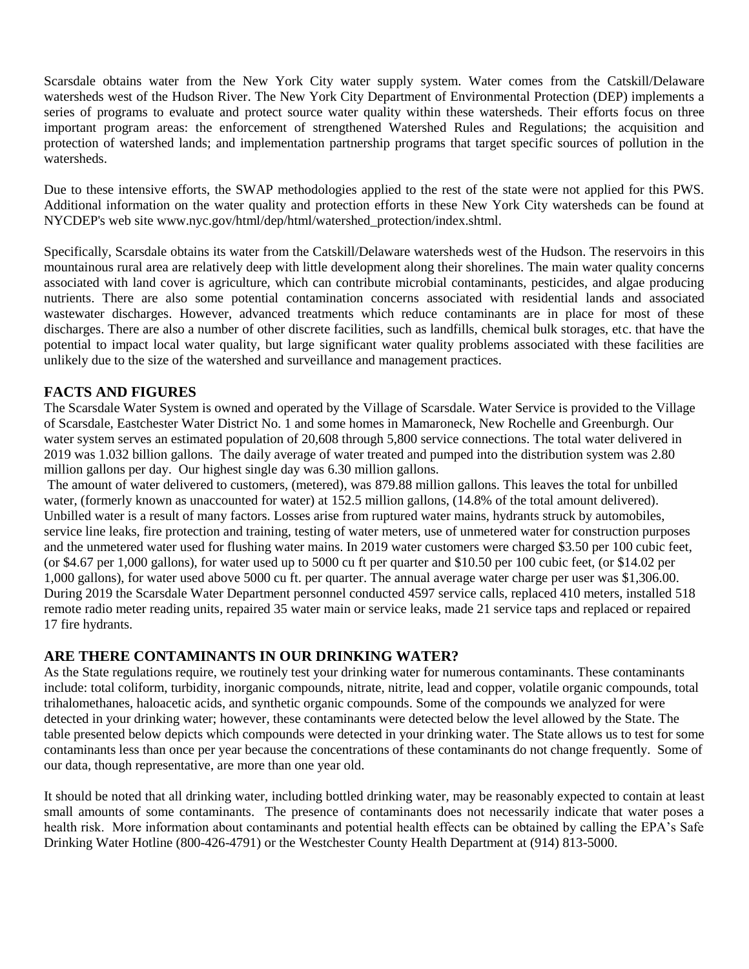Scarsdale obtains water from the New York City water supply system. Water comes from the Catskill/Delaware watersheds west of the Hudson River. The New York City Department of Environmental Protection (DEP) implements a series of programs to evaluate and protect source water quality within these watersheds. Their efforts focus on three important program areas: the enforcement of strengthened Watershed Rules and Regulations; the acquisition and protection of watershed lands; and implementation partnership programs that target specific sources of pollution in the watersheds.

Due to these intensive efforts, the SWAP methodologies applied to the rest of the state were not applied for this PWS. Additional information on the water quality and protection efforts in these New York City watersheds can be found at NYCDEP's web site www.nyc.gov/html/dep/html/watershed\_protection/index.shtml.

Specifically, Scarsdale obtains its water from the Catskill/Delaware watersheds west of the Hudson. The reservoirs in this mountainous rural area are relatively deep with little development along their shorelines. The main water quality concerns associated with land cover is agriculture, which can contribute microbial contaminants, pesticides, and algae producing nutrients. There are also some potential contamination concerns associated with residential lands and associated wastewater discharges. However, advanced treatments which reduce contaminants are in place for most of these discharges. There are also a number of other discrete facilities, such as landfills, chemical bulk storages, etc. that have the potential to impact local water quality, but large significant water quality problems associated with these facilities are unlikely due to the size of the watershed and surveillance and management practices.

## **FACTS AND FIGURES**

The Scarsdale Water System is owned and operated by the Village of Scarsdale. Water Service is provided to the Village of Scarsdale, Eastchester Water District No. 1 and some homes in Mamaroneck, New Rochelle and Greenburgh. Our water system serves an estimated population of 20,608 through 5,800 service connections. The total water delivered in 2019 was 1.032 billion gallons. The daily average of water treated and pumped into the distribution system was 2.80 million gallons per day. Our highest single day was 6.30 million gallons.

The amount of water delivered to customers, (metered), was 879.88 million gallons. This leaves the total for unbilled water, (formerly known as unaccounted for water) at 152.5 million gallons, (14.8% of the total amount delivered). Unbilled water is a result of many factors. Losses arise from ruptured water mains, hydrants struck by automobiles, service line leaks, fire protection and training, testing of water meters, use of unmetered water for construction purposes and the unmetered water used for flushing water mains. In 2019 water customers were charged \$3.50 per 100 cubic feet, (or \$4.67 per 1,000 gallons), for water used up to 5000 cu ft per quarter and \$10.50 per 100 cubic feet, (or \$14.02 per 1,000 gallons), for water used above 5000 cu ft. per quarter. The annual average water charge per user was \$1,306.00. During 2019 the Scarsdale Water Department personnel conducted 4597 service calls, replaced 410 meters, installed 518 remote radio meter reading units, repaired 35 water main or service leaks, made 21 service taps and replaced or repaired 17 fire hydrants.

## **ARE THERE CONTAMINANTS IN OUR DRINKING WATER?**

As the State regulations require, we routinely test your drinking water for numerous contaminants. These contaminants include: total coliform, turbidity, inorganic compounds, nitrate, nitrite, lead and copper, volatile organic compounds, total trihalomethanes, haloacetic acids, and synthetic organic compounds. Some of the compounds we analyzed for were detected in your drinking water; however, these contaminants were detected below the level allowed by the State. The table presented below depicts which compounds were detected in your drinking water. The State allows us to test for some contaminants less than once per year because the concentrations of these contaminants do not change frequently. Some of our data, though representative, are more than one year old.

It should be noted that all drinking water, including bottled drinking water, may be reasonably expected to contain at least small amounts of some contaminants. The presence of contaminants does not necessarily indicate that water poses a health risk. More information about contaminants and potential health effects can be obtained by calling the EPA's Safe Drinking Water Hotline (800-426-4791) or the Westchester County Health Department at (914) 813-5000.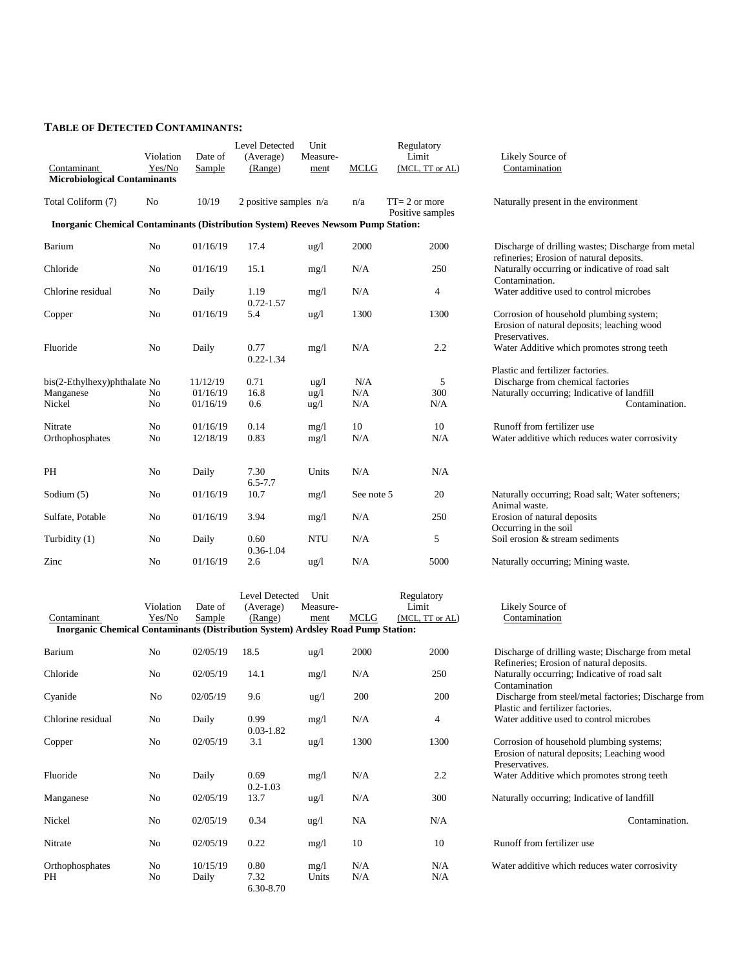#### **TABLE OF DETECTED CONTAMINANTS:**

| Contaminant<br><b>Microbiological Contaminants</b>                                       | Violation<br>Yes/No | Date of<br>Sample    | Level Detected<br>(Average)<br>(Range) | Unit<br>Measure-<br>ment           | <b>MCLG</b> | Regulatory<br>Limit<br>(MCL, TT or AL) | Likely Source of<br>Contamination                                                                       |
|------------------------------------------------------------------------------------------|---------------------|----------------------|----------------------------------------|------------------------------------|-------------|----------------------------------------|---------------------------------------------------------------------------------------------------------|
| Total Coliform (7)                                                                       | N <sub>0</sub>      | 10/19                | 2 positive samples $n/a$               |                                    | n/a         | $TT = 2$ or more<br>Positive samples   | Naturally present in the environment                                                                    |
| <b>Inorganic Chemical Contaminants (Distribution System) Reeves Newsom Pump Station:</b> |                     |                      |                                        |                                    |             |                                        |                                                                                                         |
| Barium                                                                                   | No                  | 01/16/19             | 17.4                                   | $\frac{u g}{l}$                    | 2000        | 2000                                   | Discharge of drilling wastes; Discharge from met<br>refineries; Erosion of natural deposits.            |
| Chloride                                                                                 | N <sub>o</sub>      | 01/16/19             | 15.1                                   | mg/1                               | N/A         | 250                                    | Naturally occurring or indicative of road salt<br>Contamination.                                        |
| Chlorine residual                                                                        | No                  | Daily                | 1.19<br>$0.72 - 1.57$                  | mg/1                               | N/A         | 4                                      | Water additive used to control microbes                                                                 |
| Copper                                                                                   | No                  | 01/16/19             | 5.4                                    | $\frac{u}{g}$                      | 1300        | 1300                                   | Corrosion of household plumbing system;<br>Erosion of natural deposits; leaching wood<br>Preservatives. |
| Fluoride                                                                                 | No                  | Daily                | 0.77<br>$0.22 - 1.34$                  | mg/1                               | N/A         | 2.2                                    | Water Additive which promotes strong teeth                                                              |
|                                                                                          |                     |                      |                                        |                                    |             |                                        | Plastic and fertilizer factories.                                                                       |
| bis(2-Ethylhexy)phthalate No                                                             |                     | 11/12/19             | 0.71                                   | $\frac{u g}{l}$                    | N/A         | 5                                      | Discharge from chemical factories                                                                       |
| Manganese<br>Nickel                                                                      | No<br>No            | 01/16/19<br>01/16/19 | 16.8<br>0.6                            | $\frac{u g}{l}$<br>$\frac{u g}{l}$ | N/A<br>N/A  | 300<br>N/A                             | Naturally occurring; Indicative of landfill<br>Contamination.                                           |
| Nitrate                                                                                  | No                  | 01/16/19             | 0.14                                   | mg/l                               | 10          | 10                                     | Runoff from fertilizer use                                                                              |
| Orthophosphates                                                                          | N <sub>o</sub>      | 12/18/19             | 0.83                                   | mg/1                               | N/A         | N/A                                    | Water additive which reduces water corrosivity                                                          |
| PH                                                                                       | No                  | Daily                | 7.30<br>$6.5 - 7.7$                    | Units                              | N/A         | N/A                                    |                                                                                                         |
| Sodium (5)                                                                               | No                  | 01/16/19             | 10.7                                   | mg/l                               | See note 5  | 20                                     | Naturally occurring; Road salt; Water softeners;<br>Animal waste.                                       |
| Sulfate, Potable                                                                         | No                  | 01/16/19             | 3.94                                   | mg/l                               | N/A         | 250                                    | Erosion of natural deposits<br>Occurring in the soil                                                    |
| Turbidity (1)                                                                            | No                  | Daily                | 0.60<br>$0.36 - 1.04$                  | <b>NTU</b>                         | N/A         | 5                                      | Soil erosion & stream sediments                                                                         |
| Zinc                                                                                     | No                  | 01/16/19             | 2.6                                    | $\frac{u g}{l}$                    | N/A         | 5000                                   | Naturally occurring; Mining waste.                                                                      |

|                                                                                         |                |          | <b>Level Detected</b> | Unit            |      | Regulatory      |                                                                                                          |
|-----------------------------------------------------------------------------------------|----------------|----------|-----------------------|-----------------|------|-----------------|----------------------------------------------------------------------------------------------------------|
|                                                                                         | Violation      | Date of  | (Average)             | Measure-        |      | Limit           | Likely Source of                                                                                         |
| Contaminant                                                                             | Yes/No         | Sample   | (Range)               | ment            | MCLG | (MCL, TT or AL) | Contamination                                                                                            |
| <b>Inorganic Chemical Contaminants (Distribution System) Ardsley Road Pump Station:</b> |                |          |                       |                 |      |                 |                                                                                                          |
| Barium                                                                                  | N <sub>0</sub> | 02/05/19 | 18.5                  | $\frac{u g}{l}$ | 2000 | 2000            | Discharge of drilling waste; Discharge from metal<br>Refineries; Erosion of natural deposits.            |
| Chloride                                                                                | N <sub>o</sub> | 02/05/19 | 14.1                  | mg/1            | N/A  | 250             | Naturally occurring; Indicative of road salt<br>Contamination                                            |
| Cyanide                                                                                 | N <sub>0</sub> | 02/05/19 | 9.6                   | $\frac{u g}{l}$ | 200  | 200             | Discharge from steel/metal factories; Discharge from<br>Plastic and fertilizer factories.                |
| Chlorine residual                                                                       | No             | Daily    | 0.99<br>$0.03 - 1.82$ | mg/1            | N/A  | 4               | Water additive used to control microbes                                                                  |
| Copper                                                                                  | No             | 02/05/19 | 3.1                   | $\frac{u g}{l}$ | 1300 | 1300            | Corrosion of household plumbing systems;<br>Erosion of natural deposits; Leaching wood<br>Preservatives. |
| Fluoride                                                                                | N <sub>o</sub> | Daily    | 0.69<br>$0.2 - 1.03$  | mg/1            | N/A  | 2.2             | Water Additive which promotes strong teeth                                                               |
| Manganese                                                                               | N <sub>o</sub> | 02/05/19 | 13.7                  | $\frac{u g}{l}$ | N/A  | 300             | Naturally occurring; Indicative of landfill                                                              |
| Nickel                                                                                  | N <sub>o</sub> | 02/05/19 | 0.34                  | $\frac{u g}{l}$ | NA   | N/A             | Contamination.                                                                                           |
| Nitrate                                                                                 | No             | 02/05/19 | 0.22                  | mg/l            | 10   | 10              | Runoff from fertilizer use                                                                               |

Orthophosphates No  $10/15/19$  0.80 mg/l N/A N/A<br>PH No Daily 7.32 Units N/A N/A PH No Daily 7.32 Units N/A N/A 6.30-8.70

Likely Source of Contamination aturally present in the environment bischarge of drilling wastes; Discharge from metal refineries; Erosion of natural deposits. laturally occurring or indicative of road salt Contamination. Vater additive used to control microbes orrosion of household plumbing system; rosion of natural deposits; leaching wood Preservatives. Vater Additive which promotes strong teeth astic and fertilizer factories. bischarge from chemical factories aturally occurring; Indicative of landfill<br>Contamination. unoff from fertilizer use <sup>7</sup>ater additive which reduces water corrosivity

| Discharge of drilling waste; Discharge from metal    |
|------------------------------------------------------|
| Refineries; Erosion of natural deposits.             |
| Naturally occurring; Indicative of road salt         |
| Contamination                                        |
| Discharge from steel/metal factories; Discharge from |
| Plastic and fertilizer factories.                    |
| Water additive used to control microbes              |
| Corrosion of household plumbing systems;             |
| Erosion of natural deposits; Leaching wood           |
| Preservatives.                                       |
| Water Additive which promotes strong teeth           |
| Naturally occurring; Indicative of landfill          |
| Contamination.                                       |
| Runoff from fertilizer use                           |
| Water additive which reduces water corrosivity       |
|                                                      |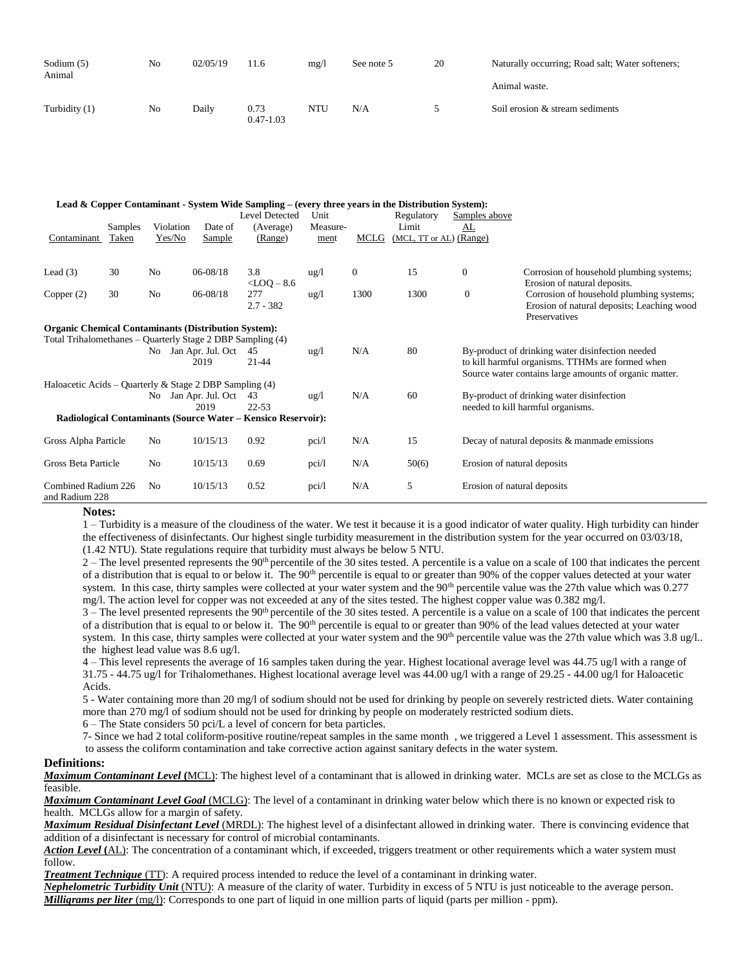| Sodium (5)<br>Animal | No | 02/05/19 | 11.6                  | mg/l | See note 5 | 20 | Naturally occurring; Road salt; Water softeners; |
|----------------------|----|----------|-----------------------|------|------------|----|--------------------------------------------------|
|                      |    |          |                       |      |            |    | Animal waste.                                    |
| Turbidity (1)        | No | Dailv    | 0.73<br>$0.47 - 1.03$ | NTU  | N/A        |    | Soil erosion & stream sediments                  |

|                                                                                                    |         |                |                           | Lead & Copper Contaminant - System Wide Sampling – (every three years in the Distribution System): |                 |              |                         |                             |                                                                                                                                                                |
|----------------------------------------------------------------------------------------------------|---------|----------------|---------------------------|----------------------------------------------------------------------------------------------------|-----------------|--------------|-------------------------|-----------------------------|----------------------------------------------------------------------------------------------------------------------------------------------------------------|
|                                                                                                    |         |                |                           | <b>Level Detected</b>                                                                              | Unit            |              | Regulatory              | Samples above               |                                                                                                                                                                |
|                                                                                                    | Samples | Violation      | Date of                   | (Average)                                                                                          | Measure-        |              | Limit                   | AL                          |                                                                                                                                                                |
| Contaminant                                                                                        | Taken   | Yes/No         | Sample                    | (Range)                                                                                            | ment            | MCLG         | (MCL, TT or AL) (Range) |                             |                                                                                                                                                                |
| Lead $(3)$                                                                                         | 30      | N <sub>o</sub> | $06 - 08/18$              | 3.8                                                                                                | $\frac{u g}{l}$ | $\mathbf{0}$ | 15                      | $\mathbf{0}$                | Corrosion of household plumbing systems;                                                                                                                       |
|                                                                                                    |         |                |                           | $<$ LOQ $-$ 8.6                                                                                    |                 |              |                         |                             | Erosion of natural deposits.                                                                                                                                   |
| Copper $(2)$                                                                                       | 30      | No             | $06 - 08/18$              | 277<br>$2.7 - 382$                                                                                 | $\frac{u g}{l}$ | 1300         | 1300                    | $\mathbf{0}$                | Corrosion of household plumbing systems;<br>Erosion of natural deposits; Leaching wood<br>Preservatives                                                        |
| <b>Organic Chemical Contaminants (Distribution System):</b>                                        |         |                |                           |                                                                                                    |                 |              |                         |                             |                                                                                                                                                                |
| Total Trihalomethanes – Quarterly Stage 2 DBP Sampling (4)                                         |         |                |                           |                                                                                                    |                 |              |                         |                             |                                                                                                                                                                |
|                                                                                                    |         | No.            | Jan Apr. Jul. Oct<br>2019 | 45<br>$21 - 44$                                                                                    | $\frac{u g}{l}$ | N/A          | 80                      |                             | By-product of drinking water disinfection needed<br>to kill harmful organisms. TTHMs are formed when<br>Source water contains large amounts of organic matter. |
| Haloacetic Acids – Quarterly & Stage 2 DBP Sampling $(4)$                                          |         |                |                           |                                                                                                    |                 |              |                         |                             |                                                                                                                                                                |
|                                                                                                    |         | No.            | Jan Apr. Jul. Oct<br>2019 | 43<br>$22 - 53$                                                                                    | $\frac{u g}{l}$ | N/A          | 60                      |                             | By-product of drinking water disinfection                                                                                                                      |
| needed to kill harmful organisms.<br>Radiological Contaminants (Source Water – Kensico Reservoir): |         |                |                           |                                                                                                    |                 |              |                         |                             |                                                                                                                                                                |
|                                                                                                    |         |                |                           |                                                                                                    |                 |              |                         |                             |                                                                                                                                                                |
| Gross Alpha Particle                                                                               |         | N <sub>o</sub> | 10/15/13                  | 0.92                                                                                               | pci/l           | N/A          | 15                      |                             | Decay of natural deposits & manmade emissions                                                                                                                  |
| Gross Beta Particle                                                                                |         | N <sub>o</sub> | 10/15/13                  | 0.69                                                                                               | pci/l           | N/A          | 50(6)                   | Erosion of natural deposits |                                                                                                                                                                |
| Combined Radium 226<br>and Radium 228                                                              |         | N <sub>0</sub> | 10/15/13                  | 0.52                                                                                               | pci/l           | N/A          | 5                       | Erosion of natural deposits |                                                                                                                                                                |

#### **Notes:**

1 – Turbidity is a measure of the cloudiness of the water. We test it because it is a good indicator of water quality. High turbidity can hinder the effectiveness of disinfectants. Our highest single turbidity measurement in the distribution system for the year occurred on 03/03/18, (1.42 NTU). State regulations require that turbidity must always be below 5 NTU.

 $2 -$  The level presented represents the 90<sup>th</sup> percentile of the 30 sites tested. A percentile is a value on a scale of 100 that indicates the percent of a distribution that is equal to or below it. The 90<sup>th</sup> percentile is equal to or greater than 90% of the copper values detected at your water system. In this case, thirty samples were collected at your water system and the 90<sup>th</sup> percentile value was the 27th value which was 0.277 mg/l. The action level for copper was not exceeded at any of the sites tested. The highest copper value was 0.382 mg/l.

 $3$  – The level presented represents the 90<sup>th</sup> percentile of the 30 sites tested. A percentile is a value on a scale of 100 that indicates the percent of a distribution that is equal to or below it. The 90<sup>th</sup> percentile is equal to or greater than 90% of the lead values detected at your water system. In this case, thirty samples were collected at your water system and the  $90<sup>th</sup>$  percentile value was the 27th value which was 3.8 ug/l.. the highest lead value was 8.6 ug/l.

4 – This level represents the average of 16 samples taken during the year. Highest locational average level was 44.75 ug/l with a range of 31.75 - 44.75 ug/l for Trihalomethanes. Highest locational average level was 44.00 ug/l with a range of 29.25 - 44.00 ug/l for Haloacetic Acids.

5 - Water containing more than 20 mg/l of sodium should not be used for drinking by people on severely restricted diets. Water containing more than 270 mg/l of sodium should not be used for drinking by people on moderately restricted sodium diets.

6 – The State considers 50 pci/L a level of concern for beta particles.

 7- Since we had 2 total coliform-positive routine/repeat samples in the same month , we triggered a Level 1 assessment. This assessment is to assess the coliform contamination and take corrective action against sanitary defects in the water system.

#### **Definitions:**

*Maximum Contaminant Level* **(**MCL): The highest level of a contaminant that is allowed in drinking water. MCLs are set as close to the MCLGs as feasible.

*Maximum Contaminant Level Goal* (MCLG): The level of a contaminant in drinking water below which there is no known or expected risk to health. MCLGs allow for a margin of safety.

*Maximum Residual Disinfectant Level* (MRDL): The highest level of a disinfectant allowed in drinking water. There is convincing evidence that addition of a disinfectant is necessary for control of microbial contaminants.

*Action Level* **(**AL): The concentration of a contaminant which, if exceeded, triggers treatment or other requirements which a water system must follow.

*Treatment Technique* (TT): A required process intended to reduce the level of a contaminant in drinking water.

*Nephelometric Turbidity Unit* (NTU): A measure of the clarity of water. Turbidity in excess of 5 NTU is just noticeable to the average person. *Milligrams per liter* (mg/l): Corresponds to one part of liquid in one million parts of liquid (parts per million - ppm).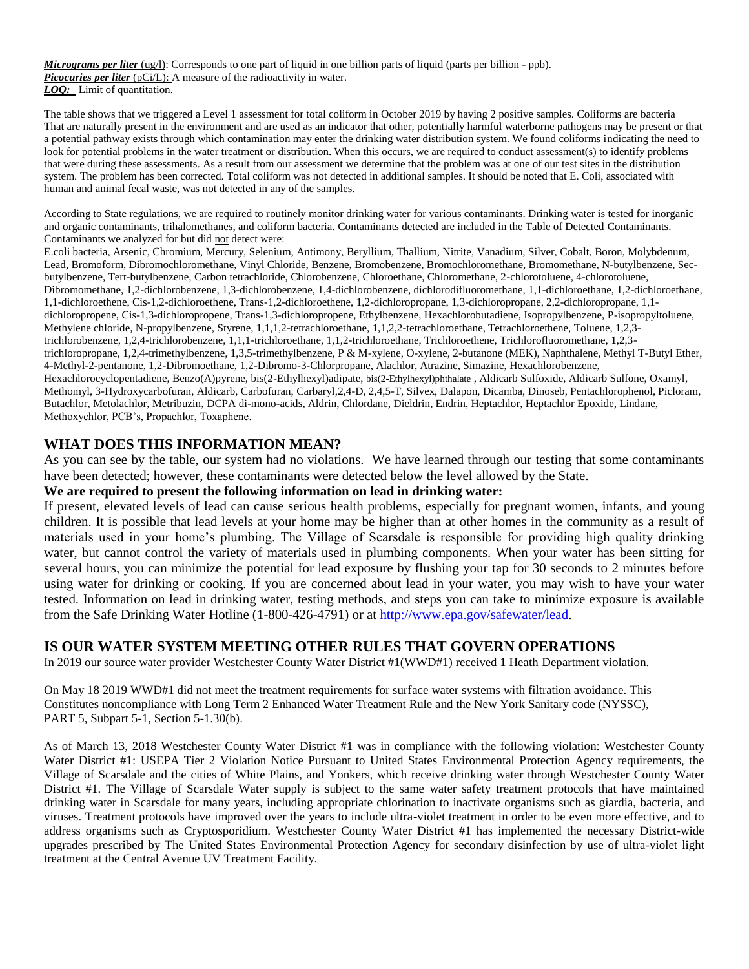*Micrograms per liter* (ug/l): Corresponds to one part of liquid in one billion parts of liquid (parts per billion - ppb). *Picocuries per liter* (pCi/L): A measure of the radioactivity in water. *LOQ:* Limit of quantitation.

The table shows that we triggered a Level 1 assessment for total coliform in October 2019 by having 2 positive samples. Coliforms are bacteria That are naturally present in the environment and are used as an indicator that other, potentially harmful waterborne pathogens may be present or that a potential pathway exists through which contamination may enter the drinking water distribution system. We found coliforms indicating the need to look for potential problems in the water treatment or distribution. When this occurs, we are required to conduct assessment(s) to identify problems that were during these assessments. As a result from our assessment we determine that the problem was at one of our test sites in the distribution system. The problem has been corrected. Total coliform was not detected in additional samples. It should be noted that E. Coli, associated with human and animal fecal waste, was not detected in any of the samples.

According to State regulations, we are required to routinely monitor drinking water for various contaminants. Drinking water is tested for inorganic and organic contaminants, trihalomethanes, and coliform bacteria. Contaminants detected are included in the Table of Detected Contaminants. Contaminants we analyzed for but did not detect were:

E.coli bacteria, Arsenic, Chromium, Mercury, Selenium, Antimony, Beryllium, Thallium, Nitrite, Vanadium, Silver, Cobalt, Boron, Molybdenum, Lead, Bromoform, Dibromochloromethane, Vinyl Chloride, Benzene, Bromobenzene, Bromochloromethane, Bromomethane, N-butylbenzene, Secbutylbenzene, Tert-butylbenzene, Carbon tetrachloride, Chlorobenzene, Chloroethane, Chloromethane, 2-chlorotoluene, 4-chlorotoluene, Dibromomethane, 1,2-dichlorobenzene, 1,3-dichlorobenzene, 1,4-dichlorobenzene, dichlorodifluoromethane, 1,1-dichloroethane, 1,2-dichloroethane, 1,1-dichloroethene, Cis-1,2-dichloroethene, Trans-1,2-dichloroethene, 1,2-dichloropropane, 1,3-dichloropropane, 2,2-dichloropropane, 1,1 dichloropropene, Cis-1,3-dichloropropene, Trans-1,3-dichloropropene, Ethylbenzene, Hexachlorobutadiene, Isopropylbenzene, P-isopropyltoluene, Methylene chloride, N-propylbenzene, Styrene, 1,1,1,2-tetrachloroethane, 1,1,2,2-tetrachloroethane, Tetrachloroethene, Toluene, 1,2,3 trichlorobenzene, 1,2,4-trichlorobenzene, 1,1,1-trichloroethane, 1,1,2-trichloroethane, Trichloroethene, Trichlorofluoromethane, 1,2,3 trichloropropane, 1,2,4-trimethylbenzene, 1,3,5-trimethylbenzene, P & M-xylene, O-xylene, 2-butanone (MEK), Naphthalene, Methyl T-Butyl Ether, 4-Methyl-2-pentanone, 1,2-Dibromoethane, 1,2-Dibromo-3-Chlorpropane, Alachlor, Atrazine, Simazine, Hexachlorobenzene, Hexachlorocyclopentadiene, Benzo(A)pyrene, bis(2-Ethylhexyl)adipate, bis(2-Ethylhexyl)phthalate , Aldicarb Sulfoxide, Aldicarb Sulfone, Oxamyl, Methomyl, 3-Hydroxycarbofuran, Aldicarb, Carbofuran, Carbaryl,2,4-D, 2,4,5-T, Silvex, Dalapon, Dicamba, Dinoseb, Pentachlorophenol, Picloram, Butachlor, Metolachlor, Metribuzin, DCPA di-mono-acids, Aldrin, Chlordane, Dieldrin, Endrin, Heptachlor, Heptachlor Epoxide, Lindane, Methoxychlor, PCB's, Propachlor, Toxaphene.

### **WHAT DOES THIS INFORMATION MEAN?**

As you can see by the table, our system had no violations. We have learned through our testing that some contaminants have been detected; however, these contaminants were detected below the level allowed by the State.

### **We are required to present the following information on lead in drinking water:**

If present, elevated levels of lead can cause serious health problems, especially for pregnant women, infants, and young children. It is possible that lead levels at your home may be higher than at other homes in the community as a result of materials used in your home's plumbing. The Village of Scarsdale is responsible for providing high quality drinking water, but cannot control the variety of materials used in plumbing components. When your water has been sitting for several hours, you can minimize the potential for lead exposure by flushing your tap for 30 seconds to 2 minutes before using water for drinking or cooking. If you are concerned about lead in your water, you may wish to have your water tested. Information on lead in drinking water, testing methods, and steps you can take to minimize exposure is available from the Safe Drinking Water Hotline (1-800-426-4791) or at [http://www.epa.gov/safewater/lead.](http://www.epa.gov/safewater/lead)

### **IS OUR WATER SYSTEM MEETING OTHER RULES THAT GOVERN OPERATIONS**

In 2019 our source water provider Westchester County Water District #1(WWD#1) received 1 Heath Department violation.

On May 18 2019 WWD#1 did not meet the treatment requirements for surface water systems with filtration avoidance. This Constitutes noncompliance with Long Term 2 Enhanced Water Treatment Rule and the New York Sanitary code (NYSSC), PART 5, Subpart 5-1, Section 5-1.30(b).

As of March 13, 2018 Westchester County Water District #1 was in compliance with the following violation: Westchester County Water District #1: USEPA Tier 2 Violation Notice Pursuant to United States Environmental Protection Agency requirements, the Village of Scarsdale and the cities of White Plains, and Yonkers, which receive drinking water through Westchester County Water District #1. The Village of Scarsdale Water supply is subject to the same water safety treatment protocols that have maintained drinking water in Scarsdale for many years, including appropriate chlorination to inactivate organisms such as giardia, bacteria, and viruses. Treatment protocols have improved over the years to include ultra-violet treatment in order to be even more effective, and to address organisms such as Cryptosporidium. Westchester County Water District #1 has implemented the necessary District-wide upgrades prescribed by The United States Environmental Protection Agency for secondary disinfection by use of ultra-violet light treatment at the Central Avenue UV Treatment Facility.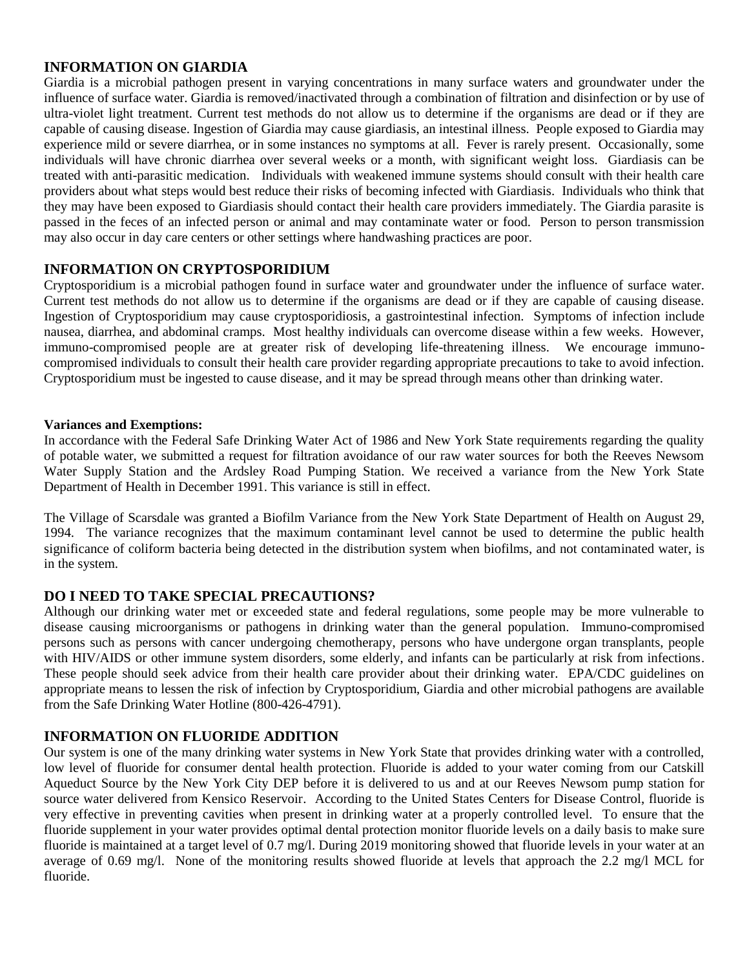## **INFORMATION ON GIARDIA**

Giardia is a microbial pathogen present in varying concentrations in many surface waters and groundwater under the influence of surface water. Giardia is removed/inactivated through a combination of filtration and disinfection or by use of ultra-violet light treatment. Current test methods do not allow us to determine if the organisms are dead or if they are capable of causing disease. Ingestion of Giardia may cause giardiasis, an intestinal illness. People exposed to Giardia may experience mild or severe diarrhea, or in some instances no symptoms at all. Fever is rarely present. Occasionally, some individuals will have chronic diarrhea over several weeks or a month, with significant weight loss. Giardiasis can be treated with anti-parasitic medication. Individuals with weakened immune systems should consult with their health care providers about what steps would best reduce their risks of becoming infected with Giardiasis. Individuals who think that they may have been exposed to Giardiasis should contact their health care providers immediately. The Giardia parasite is passed in the feces of an infected person or animal and may contaminate water or food. Person to person transmission may also occur in day care centers or other settings where handwashing practices are poor.

## **INFORMATION ON CRYPTOSPORIDIUM**

Cryptosporidium is a microbial pathogen found in surface water and groundwater under the influence of surface water. Current test methods do not allow us to determine if the organisms are dead or if they are capable of causing disease. Ingestion of Cryptosporidium may cause cryptosporidiosis, a gastrointestinal infection. Symptoms of infection include nausea, diarrhea, and abdominal cramps. Most healthy individuals can overcome disease within a few weeks. However, immuno-compromised people are at greater risk of developing life-threatening illness. We encourage immunocompromised individuals to consult their health care provider regarding appropriate precautions to take to avoid infection. Cryptosporidium must be ingested to cause disease, and it may be spread through means other than drinking water.

### **Variances and Exemptions:**

In accordance with the Federal Safe Drinking Water Act of 1986 and New York State requirements regarding the quality of potable water, we submitted a request for filtration avoidance of our raw water sources for both the Reeves Newsom Water Supply Station and the Ardsley Road Pumping Station. We received a variance from the New York State Department of Health in December 1991. This variance is still in effect.

The Village of Scarsdale was granted a Biofilm Variance from the New York State Department of Health on August 29, 1994. The variance recognizes that the maximum contaminant level cannot be used to determine the public health significance of coliform bacteria being detected in the distribution system when biofilms, and not contaminated water, is in the system.

# **DO I NEED TO TAKE SPECIAL PRECAUTIONS?**

Although our drinking water met or exceeded state and federal regulations, some people may be more vulnerable to disease causing microorganisms or pathogens in drinking water than the general population. Immuno-compromised persons such as persons with cancer undergoing chemotherapy, persons who have undergone organ transplants, people with HIV/AIDS or other immune system disorders, some elderly, and infants can be particularly at risk from infections. These people should seek advice from their health care provider about their drinking water. EPA/CDC guidelines on appropriate means to lessen the risk of infection by Cryptosporidium, Giardia and other microbial pathogens are available from the Safe Drinking Water Hotline (800-426-4791).

## **INFORMATION ON FLUORIDE ADDITION**

Our system is one of the many drinking water systems in New York State that provides drinking water with a controlled, low level of fluoride for consumer dental health protection. Fluoride is added to your water coming from our Catskill Aqueduct Source by the New York City DEP before it is delivered to us and at our Reeves Newsom pump station for source water delivered from Kensico Reservoir. According to the United States Centers for Disease Control, fluoride is very effective in preventing cavities when present in drinking water at a properly controlled level. To ensure that the fluoride supplement in your water provides optimal dental protection monitor fluoride levels on a daily basis to make sure fluoride is maintained at a target level of 0.7 mg/l. During 2019 monitoring showed that fluoride levels in your water at an average of 0.69 mg/l. None of the monitoring results showed fluoride at levels that approach the 2.2 mg/l MCL for fluoride.